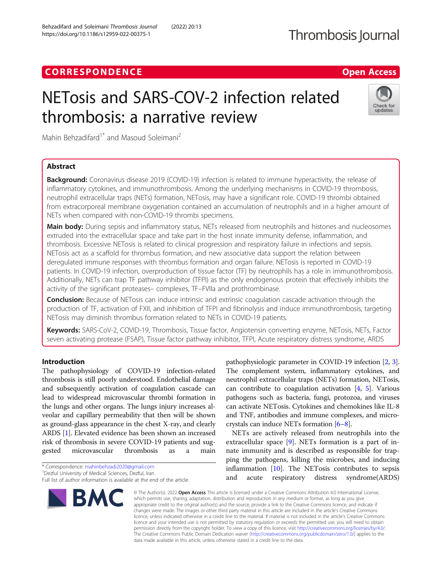Behzadifard and Soleimani Thrombosis Journal (2022) 20:13

# **CORRESPONDENCE CORRESPONDENCE** *CORRESPONDENCE*

# NETosis and SARS-COV-2 infection related thrombosis: a narrative review



Mahin Behzadifard<sup>1\*</sup> and Masoud Soleimani<sup>2</sup>

# Abstract

Background: Coronavirus disease 2019 (COVID-19) infection is related to immune hyperactivity, the release of inflammatory cytokines, and immunothrombosis. Among the underlying mechanisms in COVID-19 thrombosis, neutrophil extracellular traps (NETs) formation, NETosis, may have a significant role. COVID-19 thrombi obtained from extracorporeal membrane oxygenation contained an accumulation of neutrophils and in a higher amount of NETs when compared with non-COVID-19 thrombi specimens.

Main body: During sepsis and inflammatory status, NETs released from neutrophils and histones and nucleosomes extruded into the extracellular space and take part in the host innate immunity defense, inflammation, and thrombosis. Excessive NETosis is related to clinical progression and respiratory failure in infections and sepsis. NETosis act as a scaffold for thrombus formation, and new associative data support the relation between deregulated immune responses with thrombus formation and organ failure. NETosis is reported in COVID-19 patients. In COVID-19 infection, overproduction of tissue factor (TF) by neutrophils has a role in immunothrombosis. Additionally, NETs can trap TF pathway inhibitor (TFPI) as the only endogenous protein that effectively inhibits the activity of the significant proteases– complexes, TF–FVIIa and prothrombinase.

**Conclusion:** Because of NETosis can induce intrinsic and extrinsic coagulation cascade activation through the production of TF, activation of FXII, and inhibition of TFPI and fibrinolysis and induce immunothrombosis, targeting NETosis may diminish thrombus formation related to NETs in COVID-19 patients.

Keywords: SARS-CoV-2, COVID-19, Thrombosis, Tissue factor, Angiotensin converting enzyme, NETosis, NETs, Factor seven activating protease (FSAP), Tissue factor pathway inhibitor, TFPI, Acute respiratory distress syndrome, ARDS

# Introduction

The pathophysiology of COVID-19 infection-related thrombosis is still poorly understood. Endothelial damage and subsequently activation of coagulation cascade can lead to widespread microvascular thrombi formation in the lungs and other organs. The lungs injury increases alveolar and capillary permeability that then will be shown as ground-glass appearance in the chest X-ray, and clearly ARDS [\[1](#page-3-0)]. Elevated evidence has been shown an increased risk of thrombosis in severe COVID-19 patients and suggested microvascular thrombosis as a main

Full list of author information is available at the end of the article



pathophysiologic parameter in COVID-19 infection [[2](#page-3-0), [3](#page-3-0)]. The complement system, inflammatory cytokines, and neutrophil extracellular traps (NETs) formation, NETosis, can contribute to coagulation activation  $[4, 5]$  $[4, 5]$  $[4, 5]$  $[4, 5]$  $[4, 5]$ . Various pathogens such as bacteria, fungi, protozoa, and viruses can activate NETosis. Cytokines and chemokines like IL-8 and TNF, antibodies and immune complexes, and microcrystals can induce NETs formation [[6](#page-3-0)–[8](#page-3-0)].

NETs are actively released from neutrophils into the extracellular space [[9\]](#page-3-0). NETs formation is a part of innate immunity and is described as responsible for trapping the pathogens, killing the microbes, and inducing inflammation [[10\]](#page-4-0). The NETosis contributes to sepsis and acute respiratory distress syndrome(ARDS)

© The Author(s), 2022 **Open Access** This article is licensed under a Creative Commons Attribution 4.0 International License, which permits use, sharing, adaptation, distribution and reproduction in any medium or format, as long as you give appropriate credit to the original author(s) and the source, provide a link to the Creative Commons licence, and indicate if changes were made. The images or other third party material in this article are included in the article's Creative Commons licence, unless indicated otherwise in a credit line to the material. If material is not included in the article's Creative Commons licence and your intended use is not permitted by statutory regulation or exceeds the permitted use, you will need to obtain permission directly from the copyright holder. To view a copy of this licence, visit [http://creativecommons.org/licenses/by/4.0/.](http://creativecommons.org/licenses/by/4.0/) The Creative Commons Public Domain Dedication waiver [\(http://creativecommons.org/publicdomain/zero/1.0/](http://creativecommons.org/publicdomain/zero/1.0/)) applies to the data made available in this article, unless otherwise stated in a credit line to the data.

<sup>\*</sup> Correspondence: [mahinbehzadi2020@gmail.com](mailto:mahinbehzadi2020@gmail.com) <sup>1</sup>

<sup>&</sup>lt;sup>1</sup> Dezful University of Medical Sciences, Dezful, Iran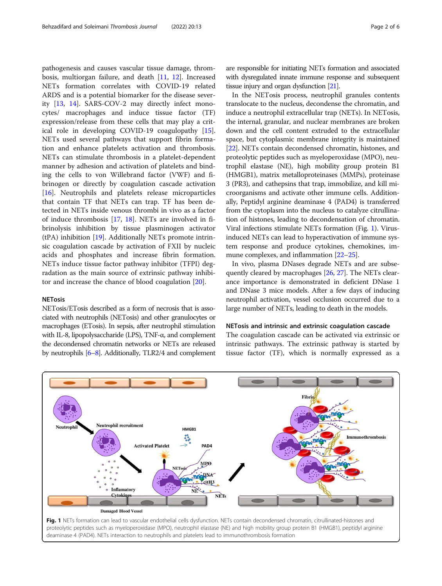pathogenesis and causes vascular tissue damage, thrombosis, multiorgan failure, and death [\[11](#page-4-0), [12\]](#page-4-0). Increased NETs formation correlates with COVID-19 related ARDS and is a potential biomarker for the disease severity [[13](#page-4-0), [14](#page-4-0)]. SARS-COV-2 may directly infect monocytes/ macrophages and induce tissue factor (TF) expression/release from these cells that may play a critical role in developing COVID-19 coagulopathy [\[15](#page-4-0)]. NETs used several pathways that support fibrin formation and enhance platelets activation and thrombosis. NETs can stimulate thrombosis in a platelet-dependent manner by adhesion and activation of platelets and binding the cells to von Willebrand factor (VWF) and fibrinogen or directly by coagulation cascade activation [[16\]](#page-4-0). Neutrophils and platelets release microparticles that contain TF that NETs can trap. TF has been detected in NETs inside venous thrombi in vivo as a factor of induce thrombosis [[17,](#page-4-0) [18](#page-4-0)]. NETs are involved in fibrinolysis inhibition by tissue plasminogen activator (tPA) inhibition [[19\]](#page-4-0). Additionally NETs promote intrinsic coagulation cascade by activation of FXII by nucleic acids and phosphates and increase fibrin formation. NETs induce tissue factor pathway inhibitor (TFPI) degradation as the main source of extrinsic pathway inhibitor and increase the chance of blood coagulation [[20\]](#page-4-0).

# **NETosis**

NETosis/ETosis described as a form of necrosis that is associated with neutrophils (NETosis) and other granulocytes or macrophages (ETosis). In sepsis, after neutrophil stimulation with IL-8, lipopolysaccharide (LPS), TNF-α, and complement the decondensed chromatin networks or NETs are released by neutrophils [\[6](#page-3-0)–[8\]](#page-3-0). Additionally, TLR2/4 and complement

are responsible for initiating NETs formation and associated with dysregulated innate immune response and subsequent tissue injury and organ dysfunction [\[21\]](#page-4-0).

In the NETosis process, neutrophil granules contents translocate to the nucleus, decondense the chromatin, and induce a neutrophil extracellular trap (NETs). In NETosis, the internal, granular, and nuclear membranes are broken down and the cell content extruded to the extracellular space, but cytoplasmic membrane integrity is maintained [[22](#page-4-0)]. NETs contain decondensed chromatin, histones, and proteolytic peptides such as myeloperoxidase (MPO), neutrophil elastase (NE), high mobility group protein B1 (HMGB1), matrix metalloproteinases (MMPs), proteinase 3 (PR3), and cathepsins that trap, immobilize, and kill microorganisms and activate other immune cells. Additionally, Peptidyl arginine deaminase 4 (PAD4) is transferred from the cytoplasm into the nucleus to catalyze citrullination of histones, leading to decondensation of chromatin. Viral infections stimulate NETs formation (Fig. 1). Virusinduced NETs can lead to hyperactivation of immune system response and produce cytokines, chemokines, im-mune complexes, and inflammation [[22](#page-4-0)–[25](#page-4-0)].

In vivo, plasma DNases degrade NETs and are subsequently cleared by macrophages [\[26,](#page-4-0) [27](#page-4-0)]. The NETs clearance importance is demonstrated in deficient DNase 1 and DNase 3 mice models. After a few days of inducing neutrophil activation, vessel occlusion occurred due to a large number of NETs, leading to death in the models.

### NETosis and intrinsic and extrinsic coagulation cascade

The coagulation cascade can be activated via extrinsic or intrinsic pathways. The extrinsic pathway is started by tissue factor (TF), which is normally expressed as a

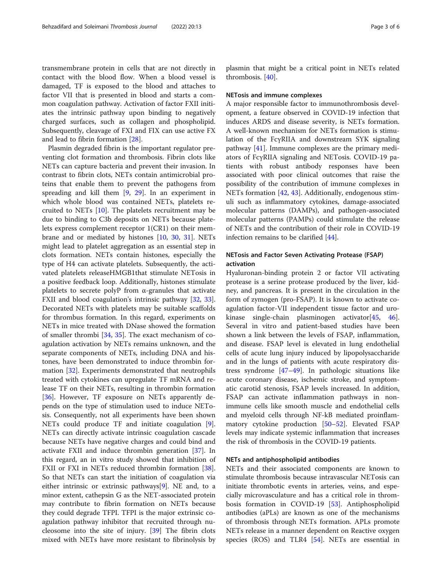transmembrane protein in cells that are not directly in contact with the blood flow. When a blood vessel is damaged, TF is exposed to the blood and attaches to factor VII that is presented in blood and starts a common coagulation pathway. Activation of factor FXII initiates the intrinsic pathway upon binding to negatively charged surfaces, such as collagen and phospholipid. Subsequently, cleavage of FXI and FIX can use active FX and lead to fibrin formation [\[28\]](#page-4-0).

Plasmin degraded fibrin is the important regulator preventing clot formation and thrombosis. Fibrin clots like NETs can capture bacteria and prevent their invasion. In contrast to fibrin clots, NETs contain antimicrobial proteins that enable them to prevent the pathogens from spreading and kill them [\[9](#page-3-0), [29](#page-4-0)]. In an experiment in which whole blood was contained NETs, platelets recruited to NETs [[10](#page-4-0)]. The platelets recruitment may be due to binding to C3b deposits on NETs because platelets express complement receptor 1(CR1) on their membrane and or mediated by histones [[10](#page-4-0), [30,](#page-4-0) [31](#page-4-0)]. NETs might lead to platelet aggregation as an essential step in clots formation. NETs contain histones, especially the type of H4 can activate platelets. Subsequently, the activated platelets releaseHMGB1that stimulate NETosis in a positive feedback loop. Additionally, histones stimulate platelets to secrete polyP from  $\alpha$ -granules that activate FXII and blood coagulation's intrinsic pathway [[32](#page-4-0), [33](#page-4-0)]. Decorated NETs with platelets may be suitable scaffolds for thrombus formation. In this regard, experiments on NETs in mice treated with DNase showed the formation of smaller thrombi [[34,](#page-4-0) [35\]](#page-4-0). The exact mechanism of coagulation activation by NETs remains unknown, and the separate components of NETs, including DNA and histones, have been demonstrated to induce thrombin formation [\[32\]](#page-4-0). Experiments demonstrated that neutrophils treated with cytokines can upregulate TF mRNA and release TF on their NETs, resulting in thrombin formation [[36\]](#page-4-0). However, TF exposure on NETs apparently depends on the type of stimulation used to induce NETosis. Consequently, not all experiments have been shown NETs could produce TF and initiate coagulation [\[9](#page-3-0)]. NETs can directly activate intrinsic coagulation cascade because NETs have negative charges and could bind and activate FXII and induce thrombin generation [[37\]](#page-4-0). In this regard, an in vitro study showed that inhibition of FXII or FXI in NETs reduced thrombin formation [\[38](#page-4-0)]. So that NETs can start the initiation of coagulation via either intrinsic or extrinsic pathways $[9]$  $[9]$ . NE and, to a minor extent, cathepsin G as the NET-associated protein may contribute to fibrin formation on NETs because they could degrade TFPI. TFPI is the major extrinsic coagulation pathway inhibitor that recruited through nucleosome into the site of injury. [[39\]](#page-4-0) The fibrin clots mixed with NETs have more resistant to fibrinolysis by

plasmin that might be a critical point in NETs related thrombosis. [[40\]](#page-4-0).

#### NETosis and immune complexes

A major responsible factor to immunothrombosis development, a feature observed in COVID-19 infection that induces ARDS and disease severity, is NETs formation. A well-known mechanism for NETs formation is stimulation of the FcγRIIA and downstream SYK signaling pathway [[41\]](#page-4-0). Immune complexes are the primary mediators of FcγRIIA signaling and NETosis. COVID-19 patients with robust antibody responses have been associated with poor clinical outcomes that raise the possibility of the contribution of immune complexes in NETs formation [[42](#page-4-0), [43](#page-4-0)]. Additionally, endogenous stimuli such as inflammatory cytokines, damage-associated molecular patterns (DAMPs), and pathogen-associated molecular patterns (PAMPs) could stimulate the release of NETs and the contribution of their role in COVID-19 infection remains to be clarified [\[44](#page-4-0)].

# NETosis and Factor Seven Activating Protease (FSAP) activation

Hyaluronan-binding protein 2 or factor VII activating protease is a serine protease produced by the liver, kidney, and pancreas. It is present in the circulation in the form of zymogen (pro-FSAP). It is known to activate coagulation factor-VII independent tissue factor and urokinase single-chain plasminogen activator[[45,](#page-4-0) [46](#page-4-0)]. Several in vitro and patient-based studies have been shown a link between the levels of FSAP, inflammation, and disease. FSAP level is elevated in lung endothelial cells of acute lung injury induced by lipopolysaccharide and in the lungs of patients with acute respiratory distress syndrome [[47](#page-4-0)–[49](#page-4-0)]. In pathologic situations like acute coronary disease, ischemic stroke, and symptomatic carotid stenosis, FSAP levels increased. In addition, FSAP can activate inflammation pathways in nonimmune cells like smooth muscle and endothelial cells and myeloid cells through NF-kB mediated proinflammatory cytokine production [\[50](#page-4-0)–[52\]](#page-4-0). Elevated FSAP levels may indicate systemic inflammation that increases the risk of thrombosis in the COVID-19 patients.

### NETs and antiphospholipid antibodies

NETs and their associated components are known to stimulate thrombosis because intravascular NETosis can initiate thrombotic events in arteries, veins, and especially microvasculature and has a critical role in thrombosis formation in COVID-19 [\[53\]](#page-4-0). Antiphospholipid antibodies (aPLs) are known as one of the mechanisms of thrombosis through NETs formation. APLs promote NETs release in a manner dependent on Reactive oxygen species (ROS) and TLR4 [\[54](#page-4-0)]. NETs are essential in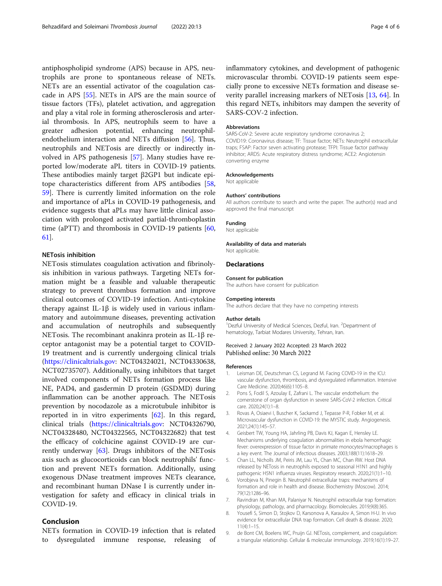<span id="page-3-0"></span>antiphospholipid syndrome (APS) because in APS, neutrophils are prone to spontaneous release of NETs. NETs are an essential activator of the coagulation cascade in APS [\[55](#page-4-0)]. NETs in APS are the main source of tissue factors (TFs), platelet activation, and aggregation and play a vital role in forming atherosclerosis and arterial thrombosis. In APS, neutrophils seem to have a greater adhesion potential, enhancing neutrophilendothelium interaction and NETs diffusion [[56](#page-4-0)]. Thus, neutrophils and NETosis are directly or indirectly involved in APS pathogenesis [[57\]](#page-5-0). Many studies have reported low/moderate aPL titers in COVID-19 patients. These antibodies mainly target β2GP1 but indicate epitope characteristics different from APS antibodies [[58](#page-5-0), [59\]](#page-5-0). There is currently limited information on the role and importance of aPLs in COVID-19 pathogenesis, and evidence suggests that aPLs may have little clinical association with prolonged activated partial-thromboplastin time (aPTT) and thrombosis in COVID-19 patients [[60](#page-5-0), [61\]](#page-5-0).

# NETosis inhibition

NETosis stimulates coagulation activation and fibrinolysis inhibition in various pathways. Targeting NETs formation might be a feasible and valuable therapeutic strategy to prevent thrombus formation and improve clinical outcomes of COVID-19 infection. Anti-cytokine therapy against IL-1β is widely used in various inflammatory and autoimmune diseases, preventing activation and accumulation of neutrophils and subsequently NETosis. The recombinant anakinra protein as IL-1β receptor antagonist may be a potential target to COVID-19 treatment and is currently undergoing clinical trials (<https://clinicaltrials.gov>: NCT04324021, NCT04330638, NCT02735707). Additionally, using inhibitors that target involved components of NETs formation process like NE, PAD4, and gasdermin D protein (GSDMD) during inflammation can be another approach. The NETosis prevention by nocodazole as a microtubule inhibitor is reported in in vitro experiments [\[62](#page-5-0)]. In this regard, clinical trials ([https://clinicaltrials.gov:](https://clinicaltrials.gov) NCT04326790, NCT04328480, NCT04322565, NCT04322682) that test the efficacy of colchicine against COVID-19 are currently underway  $[63]$  $[63]$ . Drugs inhibitors of the NET osis axis such as glucocorticoids can block neutrophils' function and prevent NETs formation. Additionally, using exogenous DNase treatment improves NETs clearance, and recombinant human DNase I is currently under investigation for safety and efficacy in clinical trials in COVID-19.

# Conclusion

NETs formation in COVID-19 infection that is related dysregulated immune response, releasing of inflammatory cytokines, and development of pathogenic microvascular thrombi. COVID-19 patients seem especially prone to excessive NETs formation and disease severity parallel increasing markers of NETosis [\[13](#page-4-0), [64](#page-5-0)]. In this regard NETs, inhibitors may dampen the severity of SARS-COV-2 infection.

#### Abbreviations

SARS-CoV-2: Severe acute respiratory syndrome coronavirus 2; COVID19: Coronavirus disease; TF: Tissue factor; NETs: Neutrophil extracellular traps; FSAP: Factor seven activating protease; TFPI: Tissue factor pathway inhibitor; ARDS: Acute respiratory distress syndrome; ACE2: Angiotensin converting enzyme

## Acknowledgements

Not applicable

#### Authors' contributions

All authors contribute to search and write the paper. The author(s) read and approved the final manuscript

#### Funding

Not applicable

#### Availability of data and materials

Not applicable.

#### **Declarations**

#### Consent for publication

The authors have consent for publication

#### Competing interests

The authors declare that they have no competing interests

#### Author details

<sup>1</sup>Dezful University of Medical Sciences, Dezful, Iran. <sup>2</sup>Department of hematology, Tarbiat Modares University, Tehran, Iran.

#### Received: 2 January 2022 Accepted: 23 March 2022 Published online: 30 March 2022

#### References

- 1. Leisman DE, Deutschman CS, Legrand M. Facing COVID-19 in the ICU: vascular dysfunction, thrombosis, and dysregulated inflammation. Intensive Care Medicine. 2020;46(6):1105–8.
- 2. Pons S, Fodil S, Azoulay E, Zafrani L. The vascular endothelium: the cornerstone of organ dysfunction in severe SARS-CoV-2 infection. Critical care. 2020;24(1):1–8.
- 3. Rovas A, Osiaevi I, Buscher K, Sackarnd J, Tepasse P-R, Fobker M, et al. Microvascular dysfunction in COVID-19: the MYSTIC study. Angiogenesis. 2021;24(1):145–57.
- 4. Geisbert TW, Young HA, Jahrling PB, Davis KJ, Kagan E, Hensley LE. Mechanisms underlying coagulation abnormalities in ebola hemorrhagic fever: overexpression of tissue factor in primate monocytes/macrophages is a key event. The Journal of infectious diseases. 2003;188(11):1618–29.
- 5. Chan LL, Nicholls JM, Peiris JM, Lau YL, Chan MC, Chan RW. Host DNA released by NETosis in neutrophils exposed to seasonal H1N1 and highly pathogenic H5N1 influenza viruses. Respiratory research. 2020;21(1):1–10.
- Vorobjeva N, Pinegin B. Neutrophil extracellular traps: mechanisms of formation and role in health and disease. Biochemistry (Moscow). 2014; 79(12):1286–96.
- 7. Ravindran M, Khan MA, Palaniyar N. Neutrophil extracellular trap formation: physiology, pathology, and pharmacology. Biomolecules. 2019;9(8):365.
- 8. Yousefi S, Simon D, Stojkov D, Karsonova A, Karaulov A, Simon H-U. In vivo evidence for extracellular DNA trap formation. Cell death & disease. 2020; 11(4):1–15.
- 9. de Bont CM, Boelens WC, Pruijn GJ. NETosis, complement, and coagulation: a triangular relationship. Cellular & molecular immunology. 2019;16(1):19–27.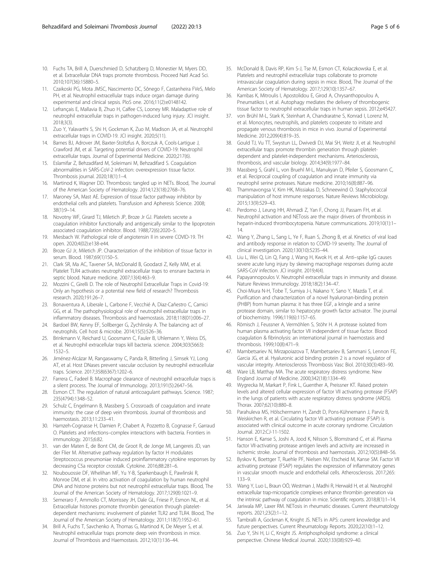- <span id="page-4-0"></span>10. Fuchs TA, Brill A, Duerschmied D, Schatzberg D, Monestier M, Myers DD, et al. Extracellular DNA traps promote thrombosis. Proceed Natl Acad Sci. 2010;107(36):15880–5.
- 11. Czaikoski PG, Mota JMSC, Nascimento DC, Sônego F, Castanheira FVeS, Melo PH, et al. Neutrophil extracellular traps induce organ damage during experimental and clinical sepsis. PloS one. 2016;11(2):e0148142.
- 12. Lefrançais E, Mallavia B, Zhuo H, Calfee CS, Looney MR. Maladaptive role of neutrophil extracellular traps in pathogen-induced lung injury. JCI insight. 2018;3(3).
- 13. Zuo Y, Yalavarthi S, Shi H, Gockman K, Zuo M, Madison JA, et al. Neutrophil extracellular traps in COVID-19. JCI insight. 2020;5(11).
- 14. Barnes BJ, Adrover JM, Baxter-Stoltzfus A, Borczuk A, Cools-Lartigue J, Crawford JM, et al. Targeting potential drivers of COVID-19: Neutrophil extracellular traps. Journal of Experimental Medicine. 2020;217(6).
- 15. Eslamifar Z, Behzadifard M, Soleimani M, Behzadifard S. Coagulation abnormalities in SARS-CoV-2 infection: overexpression tissue factor. Thrombosis journal. 2020;18(1):1–4.
- 16. Martinod K, Wagner DD. Thrombosis: tangled up in NETs. Blood, The Journal of the American Society of Hematology. 2014;123(18):2768–76.
- 17. Maroney SA, Mast AE. Expression of tissue factor pathway inhibitor by endothelial cells and platelets. Transfusion and Apheresis Science. 2008; 38(1):9–14.
- 18. Novotny WF, Girard TJ, Miletich JP, Broze Jr GJ. Platelets secrete a coagulation inhibitor functionally and antigenically similar to the lipoprotein associated coagulation inhibitor. Blood. 1988;72(6):2020–5.
- 19. Miesbach W. Pathological role of angiotensin II in severe COVID-19. TH open. 2020;4(02):e138-e44.
- 20. Broze GJ Jr, Miletich JP. Characterization of the inhibition of tissue factor in serum. Blood. 1987;69(1)150–5.
- 21. Clark SR, Ma AC, Tavener SA, McDonald B, Goodarzi Z, Kelly MM, et al. Platelet TLR4 activates neutrophil extracellular traps to ensnare bacteria in septic blood. Nature medicine. 2007;13(4):463–9.
- 22. Mozzini C, Girelli D. The role of Neutrophil Extracellular Traps in Covid-19: Only an hypothesis or a potential new field of research? Thrombosis research. 2020;191:26–7.
- 23. Bonaventura A, Liberale L, Carbone F, Vecchié A, Diaz-Cañestro C, Camici GG, et al. The pathophysiological role of neutrophil extracellular traps in inflammatory diseases. Thrombosis and haemostasis. 2018;118(01):006–27.
- 24. Bardoel BW, Kenny EF, Sollberger G, Zychlinsky A. The balancing act of neutrophils. Cell host & microbe. 2014;15(5):526–36.
- 25. Brinkmann V, Reichard U, Goosmann C, Fauler B, Uhlemann Y, Weiss DS, et al. Neutrophil extracellular traps kill bacteria. science. 2004;303(5663): 1532–5.
- 26. Jiménez-Alcázar M, Rangaswamy C, Panda R, Bitterling J, Simsek YJ, Long AT, et al. Host DNases prevent vascular occlusion by neutrophil extracellular traps. Science. 2017;358(6367):1202–6.
- Farrera C, Fadeel B. Macrophage clearance of neutrophil extracellular traps is a silent process. The Journal of Immunology. 2013;191(5):2647–56.
- 28. Esmon CT. The regulation of natural anticoagulant pathways. Science. 1987; 235(4794):1348–52.
- 29. Schulz C, Engelmann B, Massberg S. Crossroads of coagulation and innate immunity: the case of deep vein thrombosis. Journal of thrombosis and haemostasis. 2013;11:233–41.
- 30. Hamzeh-Cognasse H, Damien P, Chabert A, Pozzetto B, Cognasse F, Garraud O. Platelets and infections–complex interactions with bacteria. Frontiers in immunology. 2015;6:82.
- 31. van der Maten E, de Bont CM, de Groot R, de Jonge MI, Langereis JD, van der Flier M. Alternative pathway regulation by factor H modulates Streptococcus pneumoniae induced proinflammatory cytokine responses by decreasing C5a receptor crosstalk. Cytokine. 2016;88:281–6.
- 32. Noubouossie DF, Whelihan MF, Yu Y-B, Sparkenbaugh E, Pawlinski R, Monroe DM, et al. In vitro activation of coagulation by human neutrophil DNA and histone proteins but not neutrophil extracellular traps. Blood, The Journal of the American Society of Hematology. 2017;129(8):1021–9.
- 33. Semeraro F, Ammollo CT, Morrissey JH, Dale GL, Friese P, Esmon NL, et al. Extracellular histones promote thrombin generation through plateletdependent mechanisms: involvement of platelet TLR2 and TLR4. Blood, The Journal of the American Society of Hematology. 2011;118(7):1952–61.
- 34. Brill A, Fuchs T, Savchenko A, Thomas G, Martinod K, De Meyer S, et al. Neutrophil extracellular traps promote deep vein thrombosis in mice. Journal of Thrombosis and Haemostasis. 2012;10(1):136–44.
- 35. McDonald B, Davis RP, Kim S-J, Tse M, Esmon CT, Kolaczkowska E, et al. Platelets and neutrophil extracellular traps collaborate to promote intravascular coagulation during sepsis in mice. Blood, The Journal of the American Society of Hematology. 2017;129(10):1357–67.
- 36. Kambas K, Mitroulis I, Apostolidou E, Girod A, Chrysanthopoulou A, Pneumatikos I, et al. Autophagy mediates the delivery of thrombogenic tissue factor to neutrophil extracellular traps in human sepsis. 2012;e45427.
- 37. von Brühl M-L, Stark K, Steinhart A, Chandraratne S, Konrad I, Lorenz M, et al. Monocytes, neutrophils, and platelets cooperate to initiate and propagate venous thrombosis in mice in vivo. Journal of Experimental Medicine. 2012;209(4):819–35.
- 38. Gould TJ, Vu TT, Swystun LL, Dwivedi DJ, Mai SH, Weitz JI, et al. Neutrophil extracellular traps promote thrombin generation through plateletdependent and platelet-independent mechanisms. Arteriosclerosis, thrombosis, and vascular biology. 2014;34(9):1977–84.
- 39. Massberg S, Grahl L, von Bruehl M-L, Manukyan D, Pfeiler S, Goosmann C, et al. Reciprocal coupling of coagulation and innate immunity via neutrophil serine proteases. Nature medicine. 2010;16(8):887–96.
- 40. Thammavongsa V, Kim HK, Missiakas D, Schneewind O. Staphylococcal manipulation of host immune responses. Nature Reviews Microbiology. 2015;13(9):529–43.
- 41. Perdomo J, Leung HH, Ahmadi Z, Yan F, Chong JJ, Passam FH, et al. Neutrophil activation and NETosis are the major drivers of thrombosis in heparin-induced thrombocytopenia. Nature communications. 2019;10(1):1– 14.
- 42. Wang Y, Zhang L, Sang L, Ye F, Ruan S, Zhong B, et al. Kinetics of viral load and antibody response in relation to COVID-19 severity. The Journal of clinical investigation. 2020;130(10):5235–44.
- 43. Liu L, Wei Q, Lin Q, Fang J, Wang H, Kwok H, et al. Anti–spike IgG causes severe acute lung injury by skewing macrophage responses during acute SARS-CoV infection. JCI insight. 2019;4(4).
- 44. Papayannopoulos V. Neutrophil extracellular traps in immunity and disease. Nature Reviews Immunology. 2018;18(2):134–47.
- 45. Choi-Miura N-H, Tobe T, Sumiya J-i, Nakano Y, Sano Y, Mazda T, et al. Purification and characterization of a novel hyaluronan-binding protein (PHBP) from human plasma: it has three EGF, a kringle and a serine protease domain, similar to hepatocyte growth factor activator. The journal of biochemistry. 1996;119(6):1157–65.
- 46. Römisch J, Feussner A, Vermöhlen S, Stöhr H. A protease isolated from human plasma activating factor VII independent of tissue factor. Blood coagulation & fibrinolysis: an international journal in haemostasis and thrombosis. 1999;10(8):471–9.
- Mambetsariev N, Mirzapoiazova T, Mambetsariev B, Sammani S, Lennon FE, Garcia JG, et al. Hyaluronic acid binding protein 2 is a novel regulator of vascular integrity. Arteriosclerosis Thrombosis Vasc Biol. 2010;30(3):483–90.
- 48. Ware LB, Matthay MA. The acute respiratory distress syndrome. New England Journal of Medicine. 2000;342(18):1334–49.
- 49. Wygrecka M, Markart P, Fink L, Guenther A, Preissner KT. Raised protein levels and altered cellular expression of factor VII activating protease (FSAP) in the lungs of patients with acute respiratory distress syndrome (ARDS). Thorax. 2007;62(10):880–8.
- 50. Parahuleva MS, Hölschermann H, Zandt D, Pons-Kühnemann J, Parviz B, Weiskirchen R, et al. Circulating factor VII activating protease (FSAP) is associated with clinical outcome in acute coronary syndrome. Circulation Journal. 2012:CJ-11-1502.
- 51. Hanson E, Kanse S, Joshi A, Jood K, Nilsson S, Blomstrand C, et al. Plasma factor VII-activating protease antigen levels and activity are increased in ischemic stroke. Journal of thrombosis and haemostasis. 2012;10(5):848–56.
- 52. Byskov K, Boettger T, Ruehle PF, Nielsen NV, Etscheid M, Kanse SM. Factor VII activating protease (FSAP) regulates the expression of inflammatory genes in vascular smooth muscle and endothelial cells. Atherosclerosis. 2017;265: 133–9.
- 53. Wang Y, Luo L, Braun OÖ, Westman J, Madhi R, Herwald H, et al. Neutrophil extracellular trap-microparticle complexes enhance thrombin generation via the intrinsic pathway of coagulation in mice. Scientific reports. 2018;8(1):1–14.
- 54. Jariwala MP, Laxer RM. NETosis in rheumatic diseases. Current rheumatology reports. 2021;23(2):1–12.
- 55. Tambralli A, Gockman K, Knight JS. NETs in APS: current knowledge and future perspectives. Current Rheumatology Reports. 2020;22(10):1–12.
- 56. Zuo Y, Shi H, Li C, Knight JS. Antiphospholipid syndrome: a clinical perspective. Chinese Medical Journal. 2020;133(08):929–40.